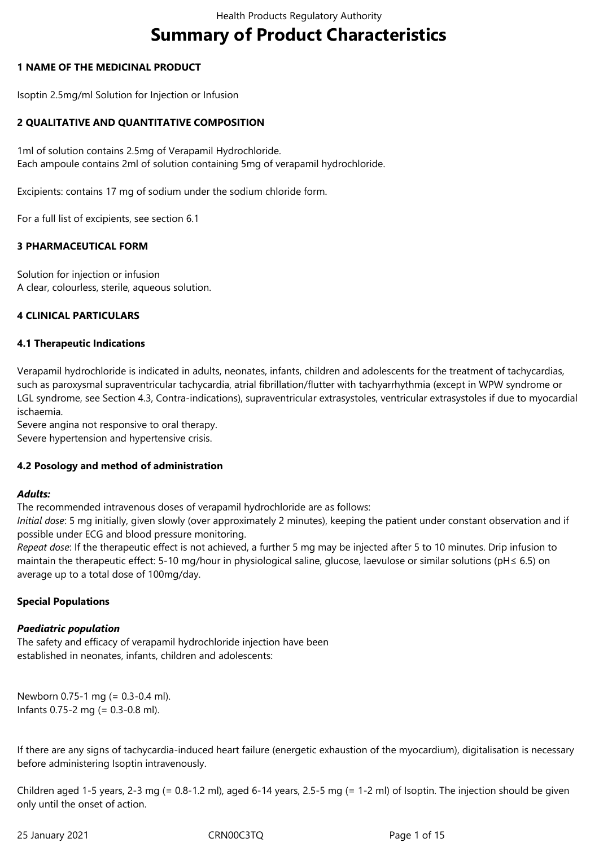# **Summary of Product Characteristics**

# **1 NAME OF THE MEDICINAL PRODUCT**

Isoptin 2.5mg/ml Solution for Injection or Infusion

# **2 QUALITATIVE AND QUANTITATIVE COMPOSITION**

1ml of solution contains 2.5mg of Verapamil Hydrochloride. Each ampoule contains 2ml of solution containing 5mg of verapamil hydrochloride.

Excipients: contains 17 mg of sodium under the sodium chloride form.

For a full list of excipients, see section 6.1

# **3 PHARMACEUTICAL FORM**

Solution for injection or infusion A clear, colourless, sterile, aqueous solution.

#### **4 CLINICAL PARTICULARS**

# **4.1 Therapeutic Indications**

Verapamil hydrochloride is indicated in adults, neonates, infants, children and adolescents for the treatment of tachycardias, such as paroxysmal supraventricular tachycardia, atrial fibrillation/flutter with tachyarrhythmia (except in WPW syndrome or LGL syndrome, see Section 4.3, Contra‐indications), supraventricular extrasystoles, ventricular extrasystoles if due to myocardial ischaemia.

Severe angina not responsive to oral therapy. Severe hypertension and hypertensive crisis.

#### **4.2 Posology and method of administration**

#### *Adults:*

The recommended intravenous doses of verapamil hydrochloride are as follows:

*Initial dose*: 5 mg initially, given slowly (over approximately 2 minutes), keeping the patient under constant observation and if possible under ECG and blood pressure monitoring.

*Repeat dose*: If the therapeutic effect is not achieved, a further 5 mg may be injected after 5 to 10 minutes. Drip infusion to maintain the therapeutic effect: 5‐10 mg/hour in physiological saline, glucose, laevulose or similar solutions (pH≤ 6.5) on average up to a total dose of 100mg/day.

#### **Special Populations**

# *Paediatric population*

The safety and efficacy of verapamil hydrochloride injection have been established in neonates, infants, children and adolescents:

Newborn 0.75‐1 mg (= 0.3‐0.4 ml). Infants 0.75‐2 mg (= 0.3‐0.8 ml).

If there are any signs of tachycardia‐induced heart failure (energetic exhaustion of the myocardium), digitalisation is necessary before administering Isoptin intravenously.

Children aged 1‐5 years, 2‐3 mg (= 0.8‐1.2 ml), aged 6‐14 years, 2.5‐5 mg (= 1‐2 ml) of Isoptin. The injection should be given only until the onset of action.

25 January 2021 CRN00C3TQ Page 1 of 15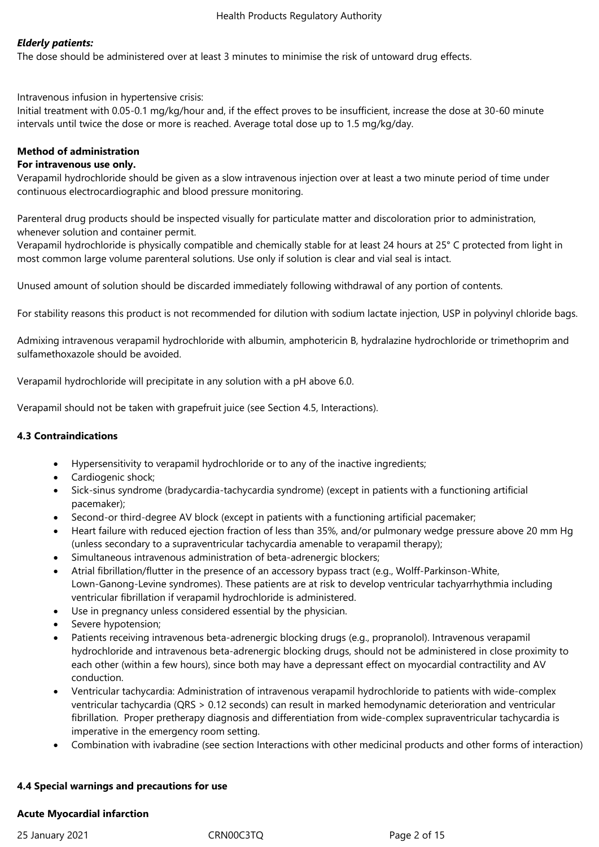# *Elderly patients:*

The dose should be administered over at least 3 minutes to minimise the risk of untoward drug effects.

Intravenous infusion in hypertensive crisis:

Initial treatment with 0.05‐0.1 mg/kg/hour and, if the effect proves to be insufficient, increase the dose at 30‐60 minute intervals until twice the dose or more is reached. Average total dose up to 1.5 mg/kg/day.

# **Method of administration**

## **For intravenous use only.**

Verapamil hydrochloride should be given as a slow intravenous injection over at least a two minute period of time under continuous electrocardiographic and blood pressure monitoring.

Parenteral drug products should be inspected visually for particulate matter and discoloration prior to administration, whenever solution and container permit.

Verapamil hydrochloride is physically compatible and chemically stable for at least 24 hours at 25° C protected from light in most common large volume parenteral solutions. Use only if solution is clear and vial seal is intact.

Unused amount of solution should be discarded immediately following withdrawal of any portion of contents.

For stability reasons this product is not recommended for dilution with sodium lactate injection, USP in polyvinyl chloride bags.

Admixing intravenous verapamil hydrochloride with albumin, amphotericin B, hydralazine hydrochloride or trimethoprim and sulfamethoxazole should be avoided.

Verapamil hydrochloride will precipitate in any solution with a pH above 6.0.

Verapamil should not be taken with grapefruit juice (see Section 4.5, Interactions).

## **4.3 Contraindications**

- Hypersensitivity to verapamil hydrochloride or to any of the inactive ingredients;
- Cardiogenic shock;
- Sick‐sinus syndrome (bradycardia‐tachycardia syndrome) (except in patients with a functioning artificial pacemaker);
- Second-or third-degree AV block (except in patients with a functioning artificial pacemaker;
- Heart failure with reduced ejection fraction of less than 35%, and/or pulmonary wedge pressure above 20 mm Hg (unless secondary to a supraventricular tachycardia amenable to verapamil therapy);
- Simultaneous intravenous administration of beta-adrenergic blockers;
- Atrial fibrillation/flutter in the presence of an accessory bypass tract (e.g., Wolff‐Parkinson‐White, Lown‐Ganong‐Levine syndromes). These patients are at risk to develop ventricular tachyarrhythmia including ventricular fibrillation if verapamil hydrochloride is administered.
- Use in pregnancy unless considered essential by the physician.
- Severe hypotension;
- Patients receiving intravenous beta‐adrenergic blocking drugs (e.g., propranolol). Intravenous verapamil hydrochloride and intravenous beta‐adrenergic blocking drugs, should not be administered in close proximity to each other (within a few hours), since both may have a depressant effect on myocardial contractility and AV conduction.
- Ventricular tachycardia: Administration of intravenous verapamil hydrochloride to patients with wide‐complex ventricular tachycardia (QRS > 0.12 seconds) can result in marked hemodynamic deterioration and ventricular fibrillation. Proper pretherapy diagnosis and differentiation from wide-complex supraventricular tachycardia is imperative in the emergency room setting.
- Combination with ivabradine (see section Interactions with other medicinal products and other forms of interaction)

#### **4.4 Special warnings and precautions for use**

#### **Acute Myocardial infarction**

25 January 2021 CRN00C3TQ Page 2 of 15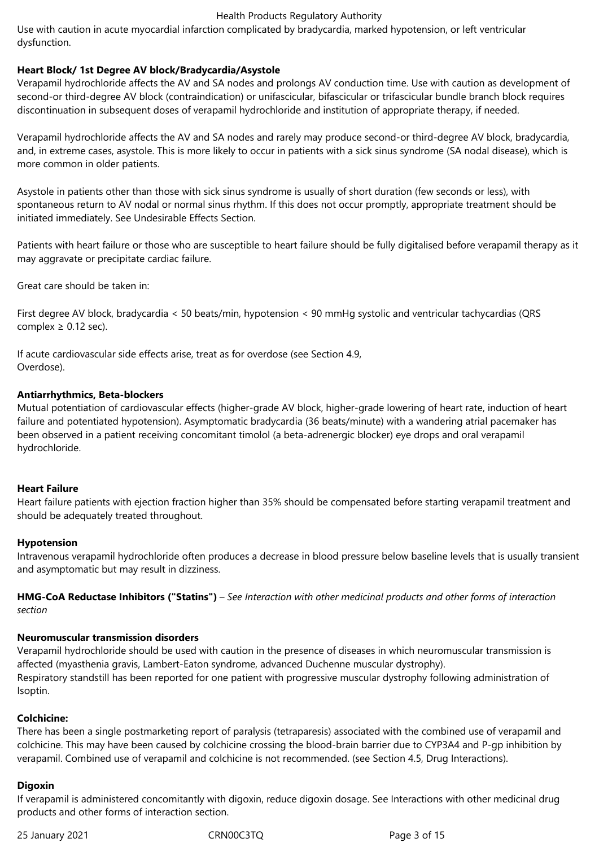Use with caution in acute myocardial infarction complicated by bradycardia, marked hypotension, or left ventricular dysfunction.

# **Heart Block/ 1st Degree AV block/Bradycardia/Asystole**

Verapamil hydrochloride affects the AV and SA nodes and prolongs AV conduction time. Use with caution as development of second-or third-degree AV block (contraindication) or unifascicular, bifascicular or trifascicular bundle branch block requires discontinuation in subsequent doses of verapamil hydrochloride and institution of appropriate therapy, if needed.

Verapamil hydrochloride affects the AV and SA nodes and rarely may produce second‐or third‐degree AV block, bradycardia, and, in extreme cases, asystole. This is more likely to occur in patients with a sick sinus syndrome (SA nodal disease), which is more common in older patients.

Asystole in patients other than those with sick sinus syndrome is usually of short duration (few seconds or less), with spontaneous return to AV nodal or normal sinus rhythm. If this does not occur promptly, appropriate treatment should be initiated immediately. See Undesirable Effects Section.

Patients with heart failure or those who are susceptible to heart failure should be fully digitalised before verapamil therapy as it may aggravate or precipitate cardiac failure.

Great care should be taken in:

First degree AV block, bradycardia < 50 beats/min, hypotension < 90 mmHg systolic and ventricular tachycardias (QRS complex  $\geq$  0.12 sec).

If acute cardiovascular side effects arise, treat as for overdose (see Section 4.9, Overdose).

#### **Antiarrhythmics, Beta-blockers**

Mutual potentiation of cardiovascular effects (higher‐grade AV block, higher‐grade lowering of heart rate, induction of heart failure and potentiated hypotension). Asymptomatic bradycardia (36 beats/minute) with a wandering atrial pacemaker has been observed in a patient receiving concomitant timolol (a beta‐adrenergic blocker) eye drops and oral verapamil hydrochloride.

#### **Heart Failure**

Heart failure patients with ejection fraction higher than 35% should be compensated before starting verapamil treatment and should be adequately treated throughout.

#### **Hypotension**

Intravenous verapamil hydrochloride often produces a decrease in blood pressure below baseline levels that is usually transient and asymptomatic but may result in dizziness.

**HMG-CoA Reductase Inhibitors ("Statins")** – *See Interaction with other medicinal products and other forms of interaction section* 

#### **Neuromuscular transmission disorders**

Verapamil hydrochloride should be used with caution in the presence of diseases in which neuromuscular transmission is affected (myasthenia gravis, Lambert‐Eaton syndrome, advanced Duchenne muscular dystrophy). Respiratory standstill has been reported for one patient with progressive muscular dystrophy following administration of Isoptin.

#### **Colchicine:**

There has been a single postmarketing report of paralysis (tetraparesis) associated with the combined use of verapamil and colchicine. This may have been caused by colchicine crossing the blood‐brain barrier due to CYP3A4 and P‐gp inhibition by verapamil. Combined use of verapamil and colchicine is not recommended. (see Section 4.5, Drug Interactions).

#### **Digoxin**

If verapamil is administered concomitantly with digoxin, reduce digoxin dosage. See Interactions with other medicinal drug products and other forms of interaction section.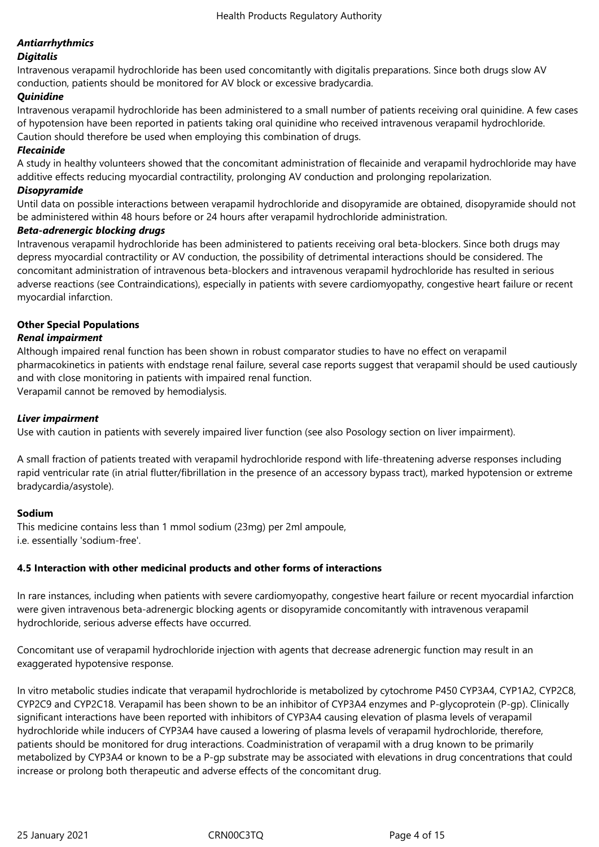# *Antiarrhythmics*

# *Digitalis*

Intravenous verapamil hydrochloride has been used concomitantly with digitalis preparations. Since both drugs slow AV conduction, patients should be monitored for AV block or excessive bradycardia.

# *Quinidine*

Intravenous verapamil hydrochloride has been administered to a small number of patients receiving oral quinidine. A few cases of hypotension have been reported in patients taking oral quinidine who received intravenous verapamil hydrochloride. Caution should therefore be used when employing this combination of drugs.

## *Flecainide*

A study in healthy volunteers showed that the concomitant administration of flecainide and verapamil hydrochloride may have additive effects reducing myocardial contractility, prolonging AV conduction and prolonging repolarization.

## *Disopyramide*

Until data on possible interactions between verapamil hydrochloride and disopyramide are obtained, disopyramide should not be administered within 48 hours before or 24 hours after verapamil hydrochloride administration.

# *Beta-adrenergic blocking drugs*

Intravenous verapamil hydrochloride has been administered to patients receiving oral beta‐blockers. Since both drugs may depress myocardial contractility or AV conduction, the possibility of detrimental interactions should be considered. The concomitant administration of intravenous beta‐blockers and intravenous verapamil hydrochloride has resulted in serious adverse reactions (see Contraindications), especially in patients with severe cardiomyopathy, congestive heart failure or recent myocardial infarction.

# **Other Special Populations**

# *Renal impairment*

Although impaired renal function has been shown in robust comparator studies to have no effect on verapamil pharmacokinetics in patients with endstage renal failure, several case reports suggest that verapamil should be used cautiously and with close monitoring in patients with impaired renal function.

Verapamil cannot be removed by hemodialysis.

# *Liver impairment*

Use with caution in patients with severely impaired liver function (see also Posology section on liver impairment).

A small fraction of patients treated with verapamil hydrochloride respond with life‐threatening adverse responses including rapid ventricular rate (in atrial flutter/fibrillation in the presence of an accessory bypass tract), marked hypotension or extreme bradycardia/asystole).

#### **Sodium**

This medicine contains less than 1 mmol sodium (23mg) per 2ml ampoule, i.e. essentially 'sodium‐free'.

# **4.5 Interaction with other medicinal products and other forms of interactions**

In rare instances, including when patients with severe cardiomyopathy, congestive heart failure or recent myocardial infarction were given intravenous beta‐adrenergic blocking agents or disopyramide concomitantly with intravenous verapamil hydrochloride, serious adverse effects have occurred.

Concomitant use of verapamil hydrochloride injection with agents that decrease adrenergic function may result in an exaggerated hypotensive response.

In vitro metabolic studies indicate that verapamil hydrochloride is metabolized by cytochrome P450 CYP3A4, CYP1A2, CYP2C8, CYP2C9 and CYP2C18. Verapamil has been shown to be an inhibitor of CYP3A4 enzymes and P‐glycoprotein (P‐gp). Clinically significant interactions have been reported with inhibitors of CYP3A4 causing elevation of plasma levels of verapamil hydrochloride while inducers of CYP3A4 have caused a lowering of plasma levels of verapamil hydrochloride, therefore, patients should be monitored for drug interactions. Coadministration of verapamil with a drug known to be primarily metabolized by CYP3A4 or known to be a P‐gp substrate may be associated with elevations in drug concentrations that could increase or prolong both therapeutic and adverse effects of the concomitant drug.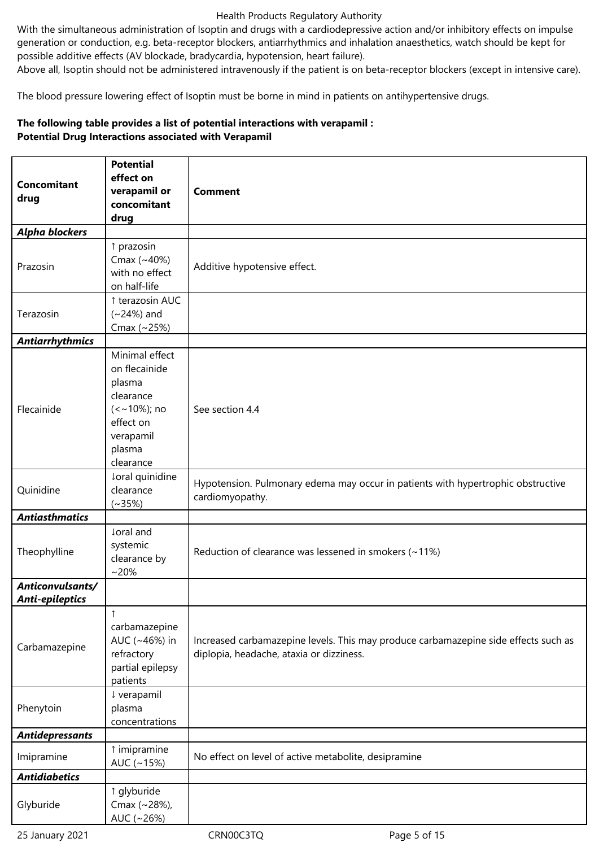With the simultaneous administration of Isoptin and drugs with a cardiodepressive action and/or inhibitory effects on impulse generation or conduction, e.g. beta‐receptor blockers, antiarrhythmics and inhalation anaesthetics, watch should be kept for possible additive effects (AV blockade, bradycardia, hypotension, heart failure).

Above all, Isoptin should not be administered intravenously if the patient is on beta‐receptor blockers (except in intensive care).

The blood pressure lowering effect of Isoptin must be borne in mind in patients on antihypertensive drugs.

# **The following table provides a list of potential interactions with verapamil : Potential Drug Interactions associated with Verapamil**

|                                     | <b>Potential</b>                                                                                                          |                                                                                                                                 |  |  |  |
|-------------------------------------|---------------------------------------------------------------------------------------------------------------------------|---------------------------------------------------------------------------------------------------------------------------------|--|--|--|
|                                     | effect on                                                                                                                 |                                                                                                                                 |  |  |  |
| <b>Concomitant</b>                  | verapamil or                                                                                                              | <b>Comment</b>                                                                                                                  |  |  |  |
| drug                                | concomitant                                                                                                               |                                                                                                                                 |  |  |  |
|                                     | drug                                                                                                                      |                                                                                                                                 |  |  |  |
| <b>Alpha blockers</b>               |                                                                                                                           |                                                                                                                                 |  |  |  |
| Prazosin                            | ↑ prazosin<br>Cmax (~40%)<br>with no effect<br>on half-life                                                               | Additive hypotensive effect.                                                                                                    |  |  |  |
|                                     | ↑ terazosin AUC                                                                                                           |                                                                                                                                 |  |  |  |
| Terazosin                           | $(-24%)$ and<br>Cmax (~25%)                                                                                               |                                                                                                                                 |  |  |  |
| <b>Antiarrhythmics</b>              |                                                                                                                           |                                                                                                                                 |  |  |  |
| Flecainide                          | Minimal effect<br>on flecainide<br>plasma<br>clearance<br>$(<$ ~10%); no<br>effect on<br>verapamil<br>plasma<br>clearance | See section 4.4                                                                                                                 |  |  |  |
|                                     | ↓oral quinidine                                                                                                           |                                                                                                                                 |  |  |  |
| Quinidine                           | clearance<br>$(*35%)$                                                                                                     | Hypotension. Pulmonary edema may occur in patients with hypertrophic obstructive<br>cardiomyopathy.                             |  |  |  |
| <b>Antiasthmatics</b>               |                                                                                                                           |                                                                                                                                 |  |  |  |
| Theophylline                        | loral and<br>systemic<br>clearance by<br>$~20\%$                                                                          | Reduction of clearance was lessened in smokers $(-11%)$                                                                         |  |  |  |
| Anticonvulsants/<br>Anti-epileptics |                                                                                                                           |                                                                                                                                 |  |  |  |
| Carbamazepine                       | 1<br>carbamazepine<br>AUC (~46%) in<br>refractory<br>partial epilepsy<br>patients                                         | Increased carbamazepine levels. This may produce carbamazepine side effects such as<br>diplopia, headache, ataxia or dizziness. |  |  |  |
| Phenytoin                           | ↓ verapamil<br>plasma<br>concentrations                                                                                   |                                                                                                                                 |  |  |  |
| <b>Antidepressants</b>              |                                                                                                                           |                                                                                                                                 |  |  |  |
| Imipramine                          | ↑ imipramine<br>AUC $(-15%)$                                                                                              | No effect on level of active metabolite, desipramine                                                                            |  |  |  |
| <b>Antidiabetics</b>                |                                                                                                                           |                                                                                                                                 |  |  |  |
| Glyburide                           | ↑ glyburide<br>Cmax (~28%),<br>AUC (~26%)                                                                                 |                                                                                                                                 |  |  |  |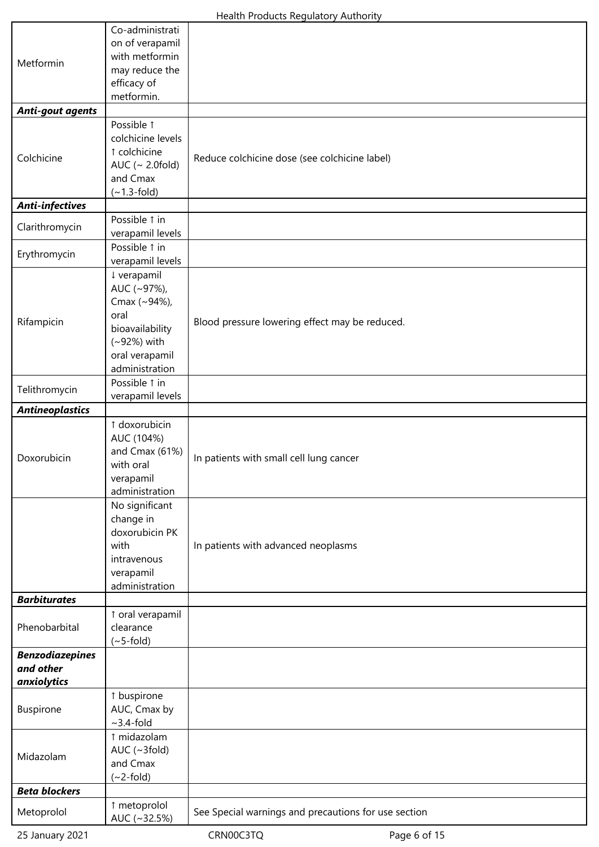|                         | Co-administrati                  |                                                      |  |  |  |  |
|-------------------------|----------------------------------|------------------------------------------------------|--|--|--|--|
|                         | on of verapamil                  |                                                      |  |  |  |  |
| Metformin               | with metformin                   |                                                      |  |  |  |  |
|                         | may reduce the                   |                                                      |  |  |  |  |
|                         | efficacy of                      |                                                      |  |  |  |  |
|                         | metformin.                       |                                                      |  |  |  |  |
| <b>Anti-gout agents</b> |                                  |                                                      |  |  |  |  |
|                         | Possible 1                       |                                                      |  |  |  |  |
|                         | colchicine levels                |                                                      |  |  |  |  |
|                         | 1 colchicine                     |                                                      |  |  |  |  |
| Colchicine              | AUC ( $\sim$ 2.0fold)            | Reduce colchicine dose (see colchicine label)        |  |  |  |  |
|                         | and Cmax                         |                                                      |  |  |  |  |
|                         | $(-1.3-fold)$                    |                                                      |  |  |  |  |
| <b>Anti-infectives</b>  |                                  |                                                      |  |  |  |  |
|                         | Possible 1 in                    |                                                      |  |  |  |  |
| Clarithromycin          | verapamil levels                 |                                                      |  |  |  |  |
|                         | Possible 1 in                    |                                                      |  |  |  |  |
| Erythromycin            | verapamil levels                 |                                                      |  |  |  |  |
|                         | ↓ verapamil                      |                                                      |  |  |  |  |
|                         | AUC (~97%),                      |                                                      |  |  |  |  |
|                         | Cmax (~94%),                     |                                                      |  |  |  |  |
|                         | oral                             |                                                      |  |  |  |  |
| Rifampicin              |                                  | Blood pressure lowering effect may be reduced.       |  |  |  |  |
|                         | bioavailability                  |                                                      |  |  |  |  |
|                         | (~92%) with                      |                                                      |  |  |  |  |
|                         | oral verapamil<br>administration |                                                      |  |  |  |  |
|                         |                                  |                                                      |  |  |  |  |
| Telithromycin           | Possible 1 in                    |                                                      |  |  |  |  |
|                         | verapamil levels                 |                                                      |  |  |  |  |
| <b>Antineoplastics</b>  |                                  |                                                      |  |  |  |  |
|                         | ↑ doxorubicin                    |                                                      |  |  |  |  |
|                         | AUC (104%)                       |                                                      |  |  |  |  |
| Doxorubicin             | and Cmax (61%)                   | In patients with small cell lung cancer              |  |  |  |  |
|                         | with oral                        |                                                      |  |  |  |  |
|                         | verapamil                        |                                                      |  |  |  |  |
|                         | administration                   |                                                      |  |  |  |  |
|                         | No significant                   |                                                      |  |  |  |  |
|                         | change in                        |                                                      |  |  |  |  |
|                         | doxorubicin PK                   |                                                      |  |  |  |  |
|                         | with                             | In patients with advanced neoplasms                  |  |  |  |  |
|                         | intravenous                      |                                                      |  |  |  |  |
|                         | verapamil                        |                                                      |  |  |  |  |
|                         | administration                   |                                                      |  |  |  |  |
| <b>Barbiturates</b>     |                                  |                                                      |  |  |  |  |
|                         | ↑ oral verapamil                 |                                                      |  |  |  |  |
| Phenobarbital           | clearance                        |                                                      |  |  |  |  |
|                         | $(\sim 5$ -fold)                 |                                                      |  |  |  |  |
| <b>Benzodiazepines</b>  |                                  |                                                      |  |  |  |  |
| and other               |                                  |                                                      |  |  |  |  |
| anxiolytics             |                                  |                                                      |  |  |  |  |
| <b>Buspirone</b>        | ↑ buspirone                      |                                                      |  |  |  |  |
|                         | AUC, Cmax by                     |                                                      |  |  |  |  |
|                         | $\sim$ 3.4-fold                  |                                                      |  |  |  |  |
| Midazolam               | ↑ midazolam                      |                                                      |  |  |  |  |
|                         | AUC $(\sim 3$ fold)              |                                                      |  |  |  |  |
|                         | and Cmax                         |                                                      |  |  |  |  |
|                         | $(\sim$ 2-fold)                  |                                                      |  |  |  |  |
| <b>Beta blockers</b>    |                                  |                                                      |  |  |  |  |
| Metoprolol              | 1 metoprolol                     | See Special warnings and precautions for use section |  |  |  |  |
|                         | AUC (~32.5%)                     |                                                      |  |  |  |  |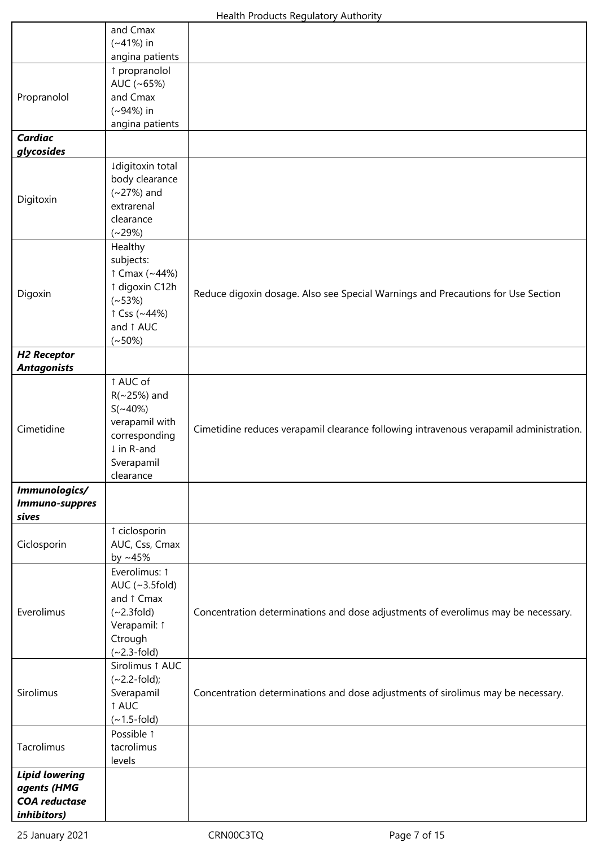|                                     | and Cmax                             |                                                                                        |
|-------------------------------------|--------------------------------------|----------------------------------------------------------------------------------------|
|                                     | $(*41%)$ in                          |                                                                                        |
|                                     | angina patients<br>↑ propranolol     |                                                                                        |
|                                     | AUC (~65%)                           |                                                                                        |
| Propranolol                         | and Cmax                             |                                                                                        |
|                                     | $(*94%)$ in                          |                                                                                        |
|                                     | angina patients                      |                                                                                        |
| <b>Cardiac</b>                      |                                      |                                                                                        |
| glycosides                          |                                      |                                                                                        |
|                                     | Idigitoxin total                     |                                                                                        |
|                                     | body clearance<br>$(-27%)$ and       |                                                                                        |
| Digitoxin                           | extrarenal                           |                                                                                        |
|                                     | clearance                            |                                                                                        |
|                                     | $(*29%)$                             |                                                                                        |
|                                     | Healthy                              |                                                                                        |
|                                     | subjects:                            |                                                                                        |
|                                     | ↑ Cmax (~44%)                        |                                                                                        |
| Digoxin                             | ↑ digoxin C12h                       | Reduce digoxin dosage. Also see Special Warnings and Precautions for Use Section       |
|                                     | $(-53%)$<br>$\uparrow$ Css (~44%)    |                                                                                        |
|                                     | and 1 AUC                            |                                                                                        |
|                                     | $(*50%)$                             |                                                                                        |
| <b>H2 Receptor</b>                  |                                      |                                                                                        |
| <b>Antagonists</b>                  |                                      |                                                                                        |
|                                     | ↑ AUC of                             |                                                                                        |
|                                     | $R(\sim 25\%)$ and<br>$S(\sim 40\%)$ |                                                                                        |
|                                     | verapamil with                       |                                                                                        |
| Cimetidine                          | corresponding                        | Cimetidine reduces verapamil clearance following intravenous verapamil administration. |
|                                     | ↓ in R-and                           |                                                                                        |
|                                     | Sverapamil                           |                                                                                        |
|                                     | clearance                            |                                                                                        |
| Immunologics/<br>Immuno-suppres     |                                      |                                                                                        |
| sives                               |                                      |                                                                                        |
|                                     | ↑ ciclosporin                        |                                                                                        |
| Ciclosporin                         | AUC, Css, Cmax                       |                                                                                        |
|                                     | by $~15\%$                           |                                                                                        |
|                                     | Everolimus: 1                        |                                                                                        |
|                                     | AUC $(-3.5$ fold)                    |                                                                                        |
| Everolimus                          | and 1 Cmax<br>$(\sim 2.3$ fold)      | Concentration determinations and dose adjustments of everolimus may be necessary.      |
|                                     | Verapamil: 1                         |                                                                                        |
|                                     | Ctrough                              |                                                                                        |
|                                     | $(-2.3-fold)$                        |                                                                                        |
| Sirolimus                           | Sirolimus 1 AUC                      |                                                                                        |
|                                     | $(-2.2-fold);$                       |                                                                                        |
|                                     | Sverapamil<br>1 AUC                  | Concentration determinations and dose adjustments of sirolimus may be necessary.       |
|                                     | $(-1.5-fold)$                        |                                                                                        |
| Tacrolimus                          | Possible 1                           |                                                                                        |
|                                     | tacrolimus                           |                                                                                        |
|                                     | levels                               |                                                                                        |
| <b>Lipid lowering</b>               |                                      |                                                                                        |
| agents (HMG<br><b>COA</b> reductase |                                      |                                                                                        |
| inhibitors)                         |                                      |                                                                                        |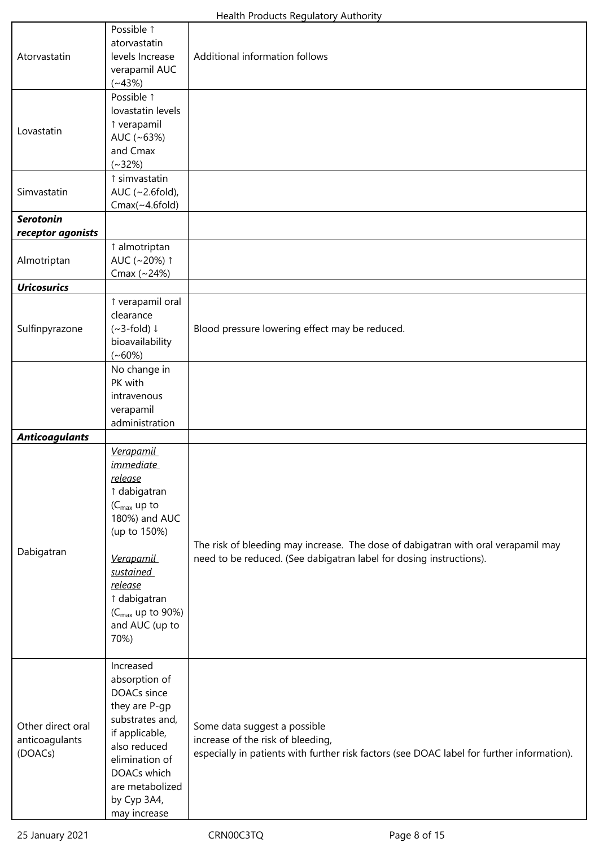| Atorvastatin                                   | Possible 1<br>atorvastatin<br>levels Increase<br>verapamil AUC<br>$(*43%)$                                                                                                                                                                        | Additional information follows                                                                                                                                  |
|------------------------------------------------|---------------------------------------------------------------------------------------------------------------------------------------------------------------------------------------------------------------------------------------------------|-----------------------------------------------------------------------------------------------------------------------------------------------------------------|
| Lovastatin                                     | Possible 1<br>lovastatin levels<br>î verapamil<br>AUC (~63%)<br>and Cmax<br>$(*32%)$                                                                                                                                                              |                                                                                                                                                                 |
| Simvastatin                                    | ↑ simvastatin<br>AUC (~2.6fold),<br>$Cmax(\sim 4.6$ fold)                                                                                                                                                                                         |                                                                                                                                                                 |
| <b>Serotonin</b>                               |                                                                                                                                                                                                                                                   |                                                                                                                                                                 |
| receptor agonists<br>Almotriptan               | ↑ almotriptan<br>AUC (~20%) 1<br>Cmax (~24%)                                                                                                                                                                                                      |                                                                                                                                                                 |
| <b>Uricosurics</b>                             |                                                                                                                                                                                                                                                   |                                                                                                                                                                 |
| Sulfinpyrazone                                 | î verapamil oral<br>clearance<br>$(-3-fold)$<br>bioavailability<br>$(*60%)$                                                                                                                                                                       | Blood pressure lowering effect may be reduced.                                                                                                                  |
|                                                | No change in<br>PK with<br>intravenous<br>verapamil<br>administration                                                                                                                                                                             |                                                                                                                                                                 |
| <b>Anticoagulants</b>                          |                                                                                                                                                                                                                                                   |                                                                                                                                                                 |
| Dabigatran                                     | <b>Verapamil</b><br><i>immediate</i><br>release<br>↑ dabigatran<br>$(C_{\text{max}}$ up to<br>180%) and AUC<br>(up to 150%)<br><b>Verapamil</b><br>sustained<br>release<br>↑ dabigatran<br>$(C_{\text{max}}$ up to 90%)<br>and AUC (up to<br>70%) | The risk of bleeding may increase. The dose of dabigatran with oral verapamil may<br>need to be reduced. (See dabigatran label for dosing instructions).        |
| Other direct oral<br>anticoagulants<br>(DOACs) | Increased<br>absorption of<br>DOACs since<br>they are P-gp<br>substrates and,<br>if applicable,<br>also reduced<br>elimination of<br>DOACs which<br>are metabolized<br>by Cyp 3A4,<br>may increase                                                | Some data suggest a possible<br>increase of the risk of bleeding,<br>especially in patients with further risk factors (see DOAC label for further information). |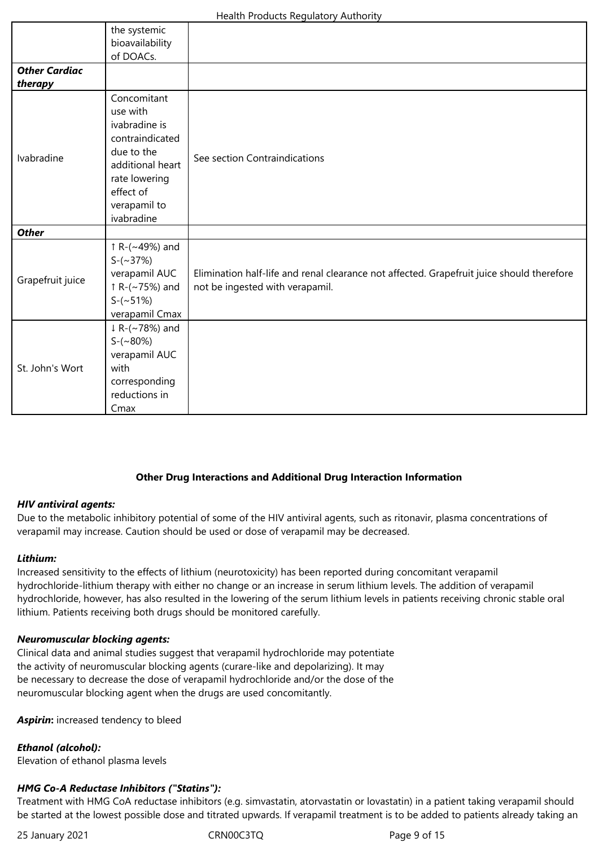|                      | the systemic<br>bioavailability<br>of DOACs. |                                                                                           |  |  |  |  |
|----------------------|----------------------------------------------|-------------------------------------------------------------------------------------------|--|--|--|--|
| <b>Other Cardiac</b> |                                              |                                                                                           |  |  |  |  |
| therapy              |                                              |                                                                                           |  |  |  |  |
|                      | Concomitant                                  |                                                                                           |  |  |  |  |
|                      | use with                                     |                                                                                           |  |  |  |  |
|                      | ivabradine is                                |                                                                                           |  |  |  |  |
|                      | contraindicated                              |                                                                                           |  |  |  |  |
| Ivabradine           | due to the                                   | See section Contraindications                                                             |  |  |  |  |
|                      | additional heart                             |                                                                                           |  |  |  |  |
|                      | rate lowering                                |                                                                                           |  |  |  |  |
|                      | effect of                                    |                                                                                           |  |  |  |  |
|                      | verapamil to                                 |                                                                                           |  |  |  |  |
|                      | ivabradine                                   |                                                                                           |  |  |  |  |
| <b>Other</b>         |                                              |                                                                                           |  |  |  |  |
|                      | ↑ R-(~49%) and                               |                                                                                           |  |  |  |  |
|                      | $S-(\sim 37%)$                               |                                                                                           |  |  |  |  |
|                      | verapamil AUC                                | Elimination half-life and renal clearance not affected. Grapefruit juice should therefore |  |  |  |  |
| Grapefruit juice     | $\uparrow$ R-(~75%) and                      | not be ingested with verapamil.                                                           |  |  |  |  |
|                      | $S-(\sim 51\%)$                              |                                                                                           |  |  |  |  |
|                      | verapamil Cmax                               |                                                                                           |  |  |  |  |
| St. John's Wort      | $\downarrow$ R-(~78%) and                    |                                                                                           |  |  |  |  |
|                      | $S-(\sim80\%)$                               |                                                                                           |  |  |  |  |
|                      | verapamil AUC                                |                                                                                           |  |  |  |  |
|                      | with                                         |                                                                                           |  |  |  |  |
|                      | corresponding                                |                                                                                           |  |  |  |  |
|                      | reductions in                                |                                                                                           |  |  |  |  |
|                      | Cmax                                         |                                                                                           |  |  |  |  |

#### **Other Drug Interactions and Additional Drug Interaction Information**

# *HIV antiviral agents:*

Due to the metabolic inhibitory potential of some of the HIV antiviral agents, such as ritonavir, plasma concentrations of verapamil may increase. Caution should be used or dose of verapamil may be decreased.

#### *Lithium:*

Increased sensitivity to the effects of lithium (neurotoxicity) has been reported during concomitant verapamil hydrochloride‐lithium therapy with either no change or an increase in serum lithium levels. The addition of verapamil hydrochloride, however, has also resulted in the lowering of the serum lithium levels in patients receiving chronic stable oral lithium. Patients receiving both drugs should be monitored carefully.

#### *Neuromuscular blocking agents:*

Clinical data and animal studies suggest that verapamil hydrochloride may potentiate the activity of neuromuscular blocking agents (curare‐like and depolarizing). It may be necessary to decrease the dose of verapamil hydrochloride and/or the dose of the neuromuscular blocking agent when the drugs are used concomitantly.

*Aspirin***:** increased tendency to bleed

#### *Ethanol (alcohol):*

Elevation of ethanol plasma levels

#### *HMG Co-A Reductase Inhibitors ("Statins"):*

Treatment with HMG CoA reductase inhibitors (e.g. simvastatin, atorvastatin or lovastatin) in a patient taking verapamil should be started at the lowest possible dose and titrated upwards. If verapamil treatment is to be added to patients already taking an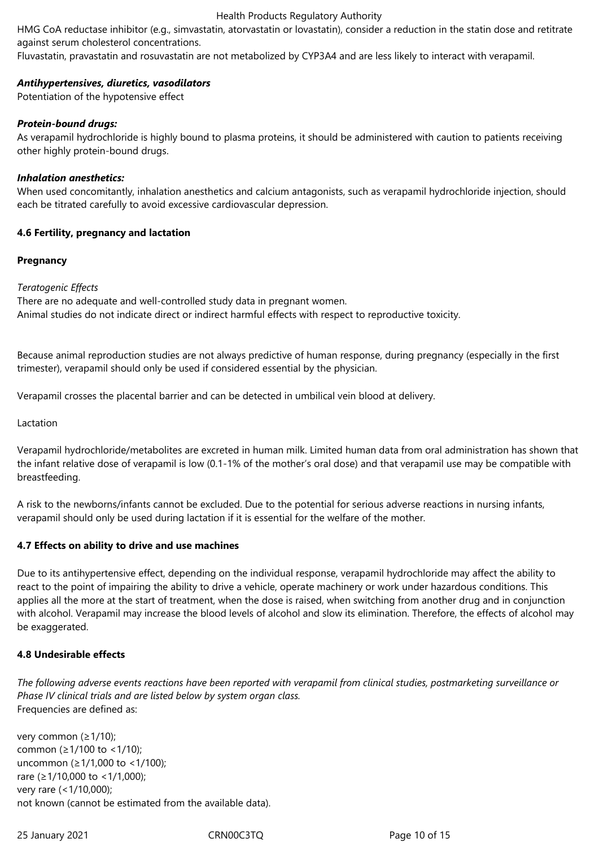HMG CoA reductase inhibitor (e.g., simvastatin, atorvastatin or lovastatin), consider a reduction in the statin dose and retitrate against serum cholesterol concentrations.

Fluvastatin, pravastatin and rosuvastatin are not metabolized by CYP3A4 and are less likely to interact with verapamil.

#### *Antihypertensives, diuretics, vasodilators*

Potentiation of the hypotensive effect

#### *Protein-bound drugs:*

As verapamil hydrochloride is highly bound to plasma proteins, it should be administered with caution to patients receiving other highly protein‐bound drugs.

#### *Inhalation anesthetics:*

When used concomitantly, inhalation anesthetics and calcium antagonists, such as verapamil hydrochloride injection, should each be titrated carefully to avoid excessive cardiovascular depression.

#### **4.6 Fertility, pregnancy and lactation**

#### **Pregnancy**

#### *Teratogenic Effects*

There are no adequate and well‐controlled study data in pregnant women. Animal studies do not indicate direct or indirect harmful effects with respect to reproductive toxicity.

Because animal reproduction studies are not always predictive of human response, during pregnancy (especially in the first trimester), verapamil should only be used if considered essential by the physician.

Verapamil crosses the placental barrier and can be detected in umbilical vein blood at delivery.

Lactation

Verapamil hydrochloride/metabolites are excreted in human milk. Limited human data from oral administration has shown that the infant relative dose of verapamil is low (0.1‐1% of the mother's oral dose) and that verapamil use may be compatible with breastfeeding.

A risk to the newborns/infants cannot be excluded. Due to the potential for serious adverse reactions in nursing infants, verapamil should only be used during lactation if it is essential for the welfare of the mother.

#### **4.7 Effects on ability to drive and use machines**

Due to its antihypertensive effect, depending on the individual response, verapamil hydrochloride may affect the ability to react to the point of impairing the ability to drive a vehicle, operate machinery or work under hazardous conditions. This applies all the more at the start of treatment, when the dose is raised, when switching from another drug and in conjunction with alcohol. Verapamil may increase the blood levels of alcohol and slow its elimination. Therefore, the effects of alcohol may be exaggerated.

#### **4.8 Undesirable effects**

*The following adverse events reactions have been reported with verapamil from clinical studies, postmarketing surveillance or Phase IV clinical trials and are listed below by system organ class.*  Frequencies are defined as:

very common (≥1/10); common (≥1/100 to <1/10); uncommon (≥1/1,000 to <1/100); rare (≥1/10,000 to <1/1,000); very rare (<1/10,000); not known (cannot be estimated from the available data).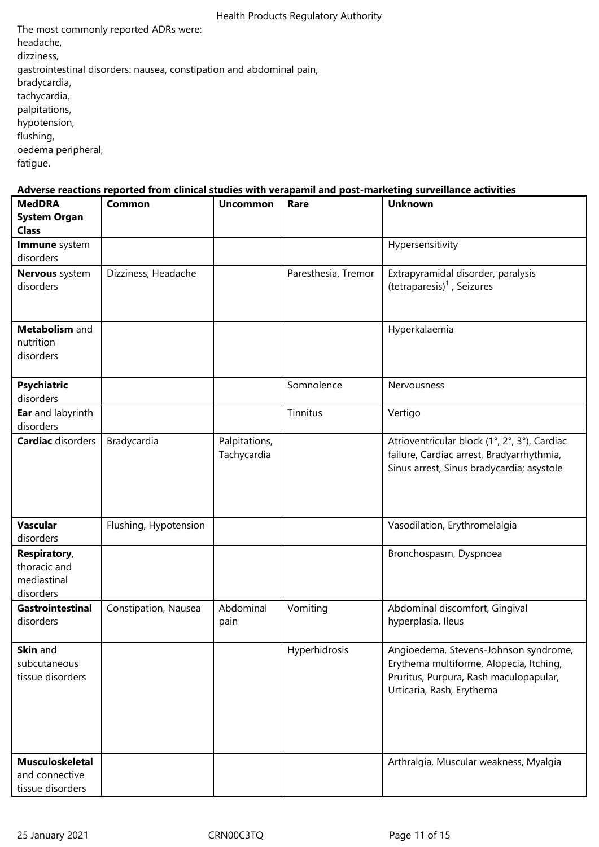The most commonly reported ADRs were: headache, dizziness, gastrointestinal disorders: nausea, constipation and abdominal pain, bradycardia, tachycardia, palpitations, hypotension, flushing, oedema peripheral, fatigue.

# **Adverse reactions reported from clinical studies with verapamil and post-marketing surveillance activities**

| <b>MedDRA</b><br><b>System Organ</b><br><b>Class</b>     | Common                | <b>Uncommon</b>              | Rare                | <b>Unknown</b>                                                                                                                                          |
|----------------------------------------------------------|-----------------------|------------------------------|---------------------|---------------------------------------------------------------------------------------------------------------------------------------------------------|
| Immune system<br>disorders                               |                       |                              |                     | Hypersensitivity                                                                                                                                        |
| Nervous system<br>disorders                              | Dizziness, Headache   |                              | Paresthesia, Tremor | Extrapyramidal disorder, paralysis<br>(tetraparesis) <sup>1</sup> , Seizures                                                                            |
| Metabolism and<br>nutrition<br>disorders                 |                       |                              |                     | Hyperkalaemia                                                                                                                                           |
| <b>Psychiatric</b><br>disorders                          |                       |                              | Somnolence          | Nervousness                                                                                                                                             |
| Ear and labyrinth<br>disorders                           |                       |                              | Tinnitus            | Vertigo                                                                                                                                                 |
| <b>Cardiac</b> disorders                                 | Bradycardia           | Palpitations,<br>Tachycardia |                     | Atrioventricular block (1°, 2°, 3°), Cardiac<br>failure, Cardiac arrest, Bradyarrhythmia,<br>Sinus arrest, Sinus bradycardia; asystole                  |
| <b>Vascular</b><br>disorders                             | Flushing, Hypotension |                              |                     | Vasodilation, Erythromelalgia                                                                                                                           |
| Respiratory,<br>thoracic and<br>mediastinal<br>disorders |                       |                              |                     | Bronchospasm, Dyspnoea                                                                                                                                  |
| Gastrointestinal<br>disorders                            | Constipation, Nausea  | Abdominal<br>pain            | Vomiting            | Abdominal discomfort, Gingival<br>hyperplasia, Ileus                                                                                                    |
| <b>Skin</b> and<br>subcutaneous<br>tissue disorders      |                       |                              | Hyperhidrosis       | Angioedema, Stevens-Johnson syndrome,<br>Erythema multiforme, Alopecia, Itching,<br>Pruritus, Purpura, Rash maculopapular,<br>Urticaria, Rash, Erythema |
| Musculoskeletal<br>and connective<br>tissue disorders    |                       |                              |                     | Arthralgia, Muscular weakness, Myalgia                                                                                                                  |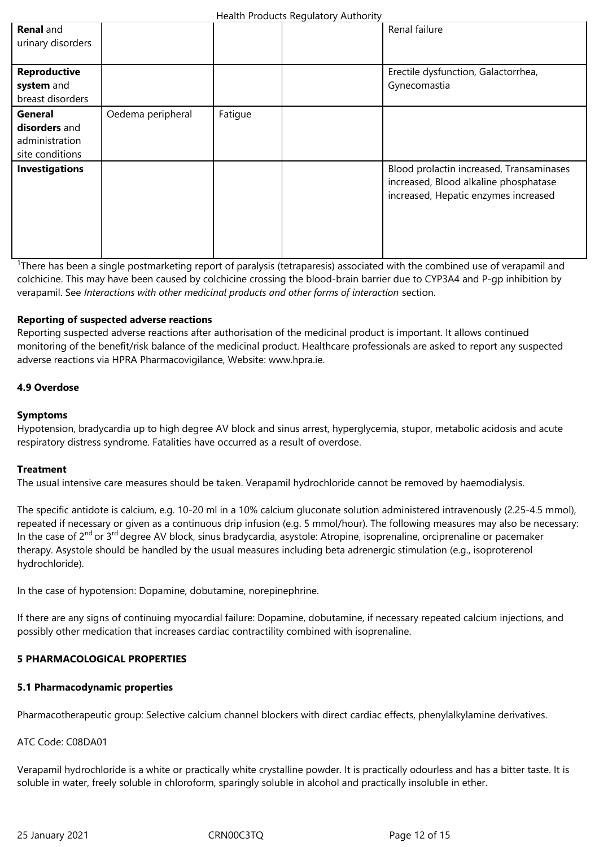| <b>Renal</b> and<br>urinary disorders                         |                   |         | Renal failure                                                                                                             |
|---------------------------------------------------------------|-------------------|---------|---------------------------------------------------------------------------------------------------------------------------|
| Reproductive<br>system and<br>breast disorders                |                   |         | Erectile dysfunction, Galactorrhea,<br>Gynecomastia                                                                       |
| General<br>disorders and<br>administration<br>site conditions | Oedema peripheral | Fatigue |                                                                                                                           |
| <b>Investigations</b>                                         |                   |         | Blood prolactin increased, Transaminases<br>increased, Blood alkaline phosphatase<br>increased, Hepatic enzymes increased |

<sup>1</sup>There has been a single postmarketing report of paralysis (tetraparesis) associated with the combined use of verapamil and colchicine. This may have been caused by colchicine crossing the blood‐brain barrier due to CYP3A4 and P‐gp inhibition by verapamil. See *Interactions with other medicinal products and other forms of interaction* section.

# **Reporting of suspected adverse reactions**

Reporting suspected adverse reactions after authorisation of the medicinal product is important. It allows continued monitoring of the benefit/risk balance of the medicinal product. Healthcare professionals are asked to report any suspected adverse reactions via HPRA Pharmacovigilance, Website: www.hpra.ie.

# **4.9 Overdose**

# **Symptoms**

Hypotension, bradycardia up to high degree AV block and sinus arrest, hyperglycemia, stupor, metabolic acidosis and acute respiratory distress syndrome. Fatalities have occurred as a result of overdose.

#### **Treatment**

The usual intensive care measures should be taken. Verapamil hydrochloride cannot be removed by haemodialysis.

The specific antidote is calcium, e.g. 10‐20 ml in a 10% calcium gluconate solution administered intravenously (2.25‐4.5 mmol), repeated if necessary or given as a continuous drip infusion (e.g. 5 mmol/hour). The following measures may also be necessary: In the case of 2<sup>nd</sup> or 3<sup>rd</sup> degree AV block, sinus bradycardia, asystole: Atropine, isoprenaline, orciprenaline or pacemaker therapy. Asystole should be handled by the usual measures including beta adrenergic stimulation (e.g., isoproterenol hydrochloride).

In the case of hypotension: Dopamine, dobutamine, norepinephrine.

If there are any signs of continuing myocardial failure: Dopamine, dobutamine, if necessary repeated calcium injections, and possibly other medication that increases cardiac contractility combined with isoprenaline.

#### **5 PHARMACOLOGICAL PROPERTIES**

#### **5.1 Pharmacodynamic properties**

Pharmacotherapeutic group: Selective calcium channel blockers with direct cardiac effects, phenylalkylamine derivatives.

ATC Code: C08DA01

Verapamil hydrochloride is a white or practically white crystalline powder. It is practically odourless and has a bitter taste. It is soluble in water, freely soluble in chloroform, sparingly soluble in alcohol and practically insoluble in ether.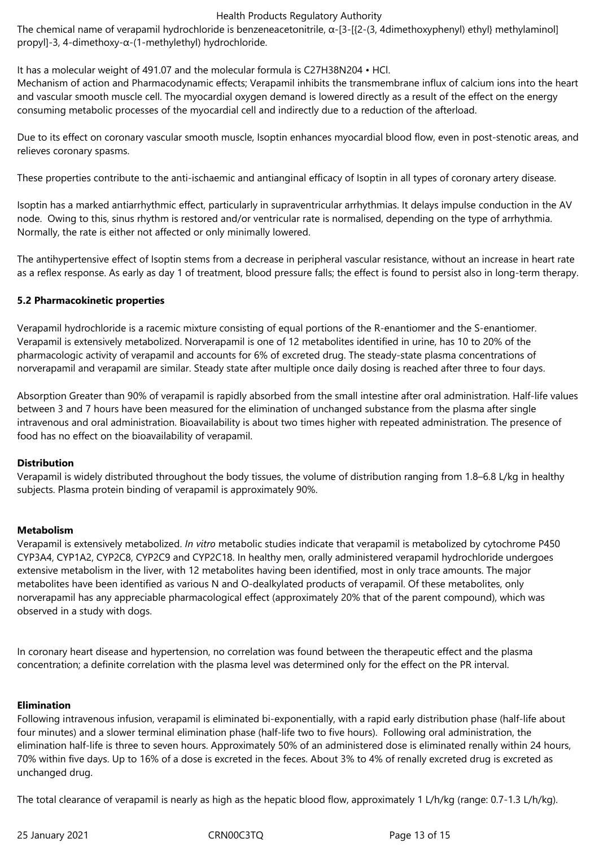The chemical name of verapamil hydrochloride is benzeneacetonitrile, α‐[3‐[{2‐(3, 4dimethoxyphenyl) ethyl} methylaminol] propyl]‐3, 4‐dimethoxy‐α‐(1‐methylethyl) hydrochloride.

It has a molecular weight of 491.07 and the molecular formula is C27H38N204 • HCl.

Mechanism of action and Pharmacodynamic effects; Verapamil inhibits the transmembrane influx of calcium ions into the heart and vascular smooth muscle cell. The myocardial oxygen demand is lowered directly as a result of the effect on the energy consuming metabolic processes of the myocardial cell and indirectly due to a reduction of the afterload.

Due to its effect on coronary vascular smooth muscle, Isoptin enhances myocardial blood flow, even in post-stenotic areas, and relieves coronary spasms.

These properties contribute to the anti‐ischaemic and antianginal efficacy of Isoptin in all types of coronary artery disease.

Isoptin has a marked antiarrhythmic effect, particularly in supraventricular arrhythmias. It delays impulse conduction in the AV node. Owing to this, sinus rhythm is restored and/or ventricular rate is normalised, depending on the type of arrhythmia. Normally, the rate is either not affected or only minimally lowered.

The antihypertensive effect of Isoptin stems from a decrease in peripheral vascular resistance, without an increase in heart rate as a reflex response. As early as day 1 of treatment, blood pressure falls; the effect is found to persist also in long-term therapy.

# **5.2 Pharmacokinetic properties**

Verapamil hydrochloride is a racemic mixture consisting of equal portions of the R‐enantiomer and the S‐enantiomer. Verapamil is extensively metabolized. Norverapamil is one of 12 metabolites identified in urine, has 10 to 20% of the pharmacologic activity of verapamil and accounts for 6% of excreted drug. The steady‐state plasma concentrations of norverapamil and verapamil are similar. Steady state after multiple once daily dosing is reached after three to four days.

Absorption Greater than 90% of verapamil is rapidly absorbed from the small intestine after oral administration. Half‐life values between 3 and 7 hours have been measured for the elimination of unchanged substance from the plasma after single intravenous and oral administration. Bioavailability is about two times higher with repeated administration. The presence of food has no effect on the bioavailability of verapamil.

#### **Distribution**

Verapamil is widely distributed throughout the body tissues, the volume of distribution ranging from 1.8–6.8 L/kg in healthy subjects. Plasma protein binding of verapamil is approximately 90%.

#### **Metabolism**

Verapamil is extensively metabolized. *In vitro* metabolic studies indicate that verapamil is metabolized by cytochrome P450 CYP3A4, CYP1A2, CYP2C8, CYP2C9 and CYP2C18. In healthy men, orally administered verapamil hydrochloride undergoes extensive metabolism in the liver, with 12 metabolites having been identified, most in only trace amounts. The major metabolites have been identified as various N and O-dealkylated products of verapamil. Of these metabolites, only norverapamil has any appreciable pharmacological effect (approximately 20% that of the parent compound), which was observed in a study with dogs.

In coronary heart disease and hypertension, no correlation was found between the therapeutic effect and the plasma concentration; a definite correlation with the plasma level was determined only for the effect on the PR interval.

#### **Elimination**

Following intravenous infusion, verapamil is eliminated bi‐exponentially, with a rapid early distribution phase (half‐life about four minutes) and a slower terminal elimination phase (half-life two to five hours). Following oral administration, the elimination half‐life is three to seven hours. Approximately 50% of an administered dose is eliminated renally within 24 hours, 70% within five days. Up to 16% of a dose is excreted in the feces. About 3% to 4% of renally excreted drug is excreted as unchanged drug.

The total clearance of verapamil is nearly as high as the hepatic blood flow, approximately 1 L/h/kg (range: 0.7‐1.3 L/h/kg).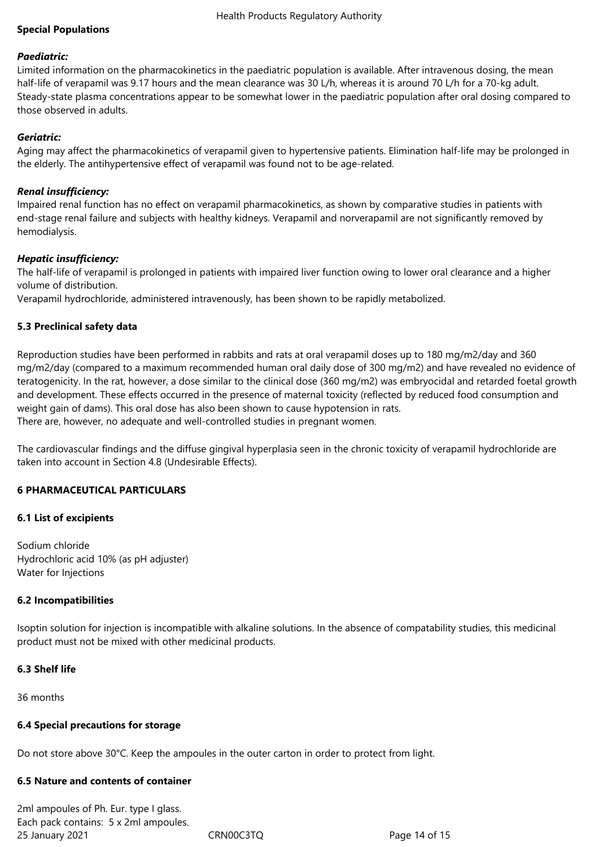# **Special Populations**

#### *Paediatric:*

Limited information on the pharmacokinetics in the paediatric population is available. After intravenous dosing, the mean half-life of verapamil was 9.17 hours and the mean clearance was 30 L/h, whereas it is around 70 L/h for a 70-kg adult. Steady-state plasma concentrations appear to be somewhat lower in the paediatric population after oral dosing compared to those observed in adults.

## *Geriatric:*

Aging may affect the pharmacokinetics of verapamil given to hypertensive patients. Elimination half‐life may be prolonged in the elderly. The antihypertensive effect of verapamil was found not to be age-related.

# *Renal insufficiency:*

Impaired renal function has no effect on verapamil pharmacokinetics, as shown by comparative studies in patients with end-stage renal failure and subjects with healthy kidneys. Verapamil and norverapamil are not significantly removed by hemodialysis.

# *Hepatic insufficiency:*

The half-life of verapamil is prolonged in patients with impaired liver function owing to lower oral clearance and a higher volume of distribution.

Verapamil hydrochloride, administered intravenously, has been shown to be rapidly metabolized.

# **5.3 Preclinical safety data**

Reproduction studies have been performed in rabbits and rats at oral verapamil doses up to 180 mg/m2/day and 360 mg/m2/day (compared to a maximum recommended human oral daily dose of 300 mg/m2) and have revealed no evidence of teratogenicity. In the rat, however, a dose similar to the clinical dose (360 mg/m2) was embryocidal and retarded foetal growth and development. These effects occurred in the presence of maternal toxicity (reflected by reduced food consumption and weight gain of dams). This oral dose has also been shown to cause hypotension in rats. There are, however, no adequate and well‐controlled studies in pregnant women.

The cardiovascular findings and the diffuse gingival hyperplasia seen in the chronic toxicity of verapamil hydrochloride are taken into account in Section 4.8 (Undesirable Effects).

#### **6 PHARMACEUTICAL PARTICULARS**

#### **6.1 List of excipients**

Sodium chloride Hydrochloric acid 10% (as pH adjuster) Water for Injections

#### **6.2 Incompatibilities**

Isoptin solution for injection is incompatible with alkaline solutions. In the absence of compatability studies, this medicinal product must not be mixed with other medicinal products.

#### **6.3 Shelf life**

36 months

#### **6.4 Special precautions for storage**

Do not store above 30°C. Keep the ampoules in the outer carton in order to protect from light.

# **6.5 Nature and contents of container**

25 January 2021 CRN00C3TQ Page 14 of 15 2ml ampoules of Ph. Eur. type I glass. Each pack contains: 5 x 2ml ampoules.